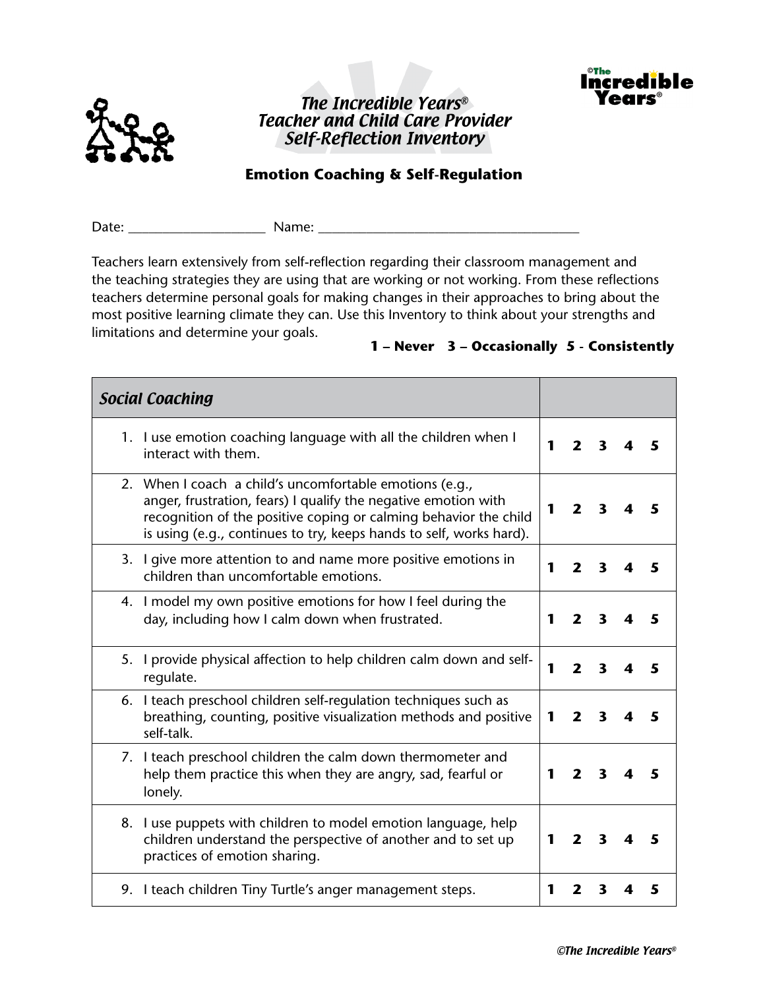





## **Emotion Coaching & Self-Regulation**

Date: The Communication of Name:  $\blacksquare$ 

Teachers learn extensively from self-reflection regarding their classroom management and the teaching strategies they are using that are working or not working. From these reflections teachers determine personal goals for making changes in their approaches to bring about the most positive learning climate they can. Use this Inventory to think about your strengths and limitations and determine your goals.

## **1 – Never 3 – Occasionally 5 - Consistently**

| <b>Social Coaching</b>                                                                                                                                                                                                                                               |   |                         |                         |   |   |
|----------------------------------------------------------------------------------------------------------------------------------------------------------------------------------------------------------------------------------------------------------------------|---|-------------------------|-------------------------|---|---|
| 1. I use emotion coaching language with all the children when I<br>interact with them.                                                                                                                                                                               | 1 | $\mathbf{z}$            | 3                       |   |   |
| 2. When I coach a child's uncomfortable emotions (e.g.,<br>anger, frustration, fears) I qualify the negative emotion with<br>recognition of the positive coping or calming behavior the child<br>is using (e.g., continues to try, keeps hands to self, works hard). | 1 | $\mathbf{2}$            | $\mathbf{3}$            |   |   |
| 3. I give more attention to and name more positive emotions in<br>children than uncomfortable emotions.                                                                                                                                                              | 1 | 2                       | 3                       |   | 5 |
| 4. I model my own positive emotions for how I feel during the<br>day, including how I calm down when frustrated.                                                                                                                                                     | 1 | $\overline{\mathbf{z}}$ | $\overline{\mathbf{3}}$ | 4 | 5 |
| 5. I provide physical affection to help children calm down and self-<br>regulate.                                                                                                                                                                                    | 1 | $\overline{\mathbf{z}}$ | $\overline{\mathbf{3}}$ | 4 | 5 |
| 6. I teach preschool children self-regulation techniques such as<br>breathing, counting, positive visualization methods and positive<br>self-talk.                                                                                                                   | 1 | $\overline{\mathbf{2}}$ | $\overline{\mathbf{3}}$ | 4 | 5 |
| 7. I teach preschool children the calm down thermometer and<br>help them practice this when they are angry, sad, fearful or<br>lonely.                                                                                                                               | 1 | $\overline{\mathbf{z}}$ | $\overline{\mathbf{3}}$ |   | 5 |
| 8. I use puppets with children to model emotion language, help<br>children understand the perspective of another and to set up<br>practices of emotion sharing.                                                                                                      | 1 | $\mathbf{2}$            | $\overline{\mathbf{3}}$ | 4 |   |
| 9. I teach children Tiny Turtle's anger management steps.                                                                                                                                                                                                            | 1 | $\mathbf{2}$            | 3                       |   | 5 |